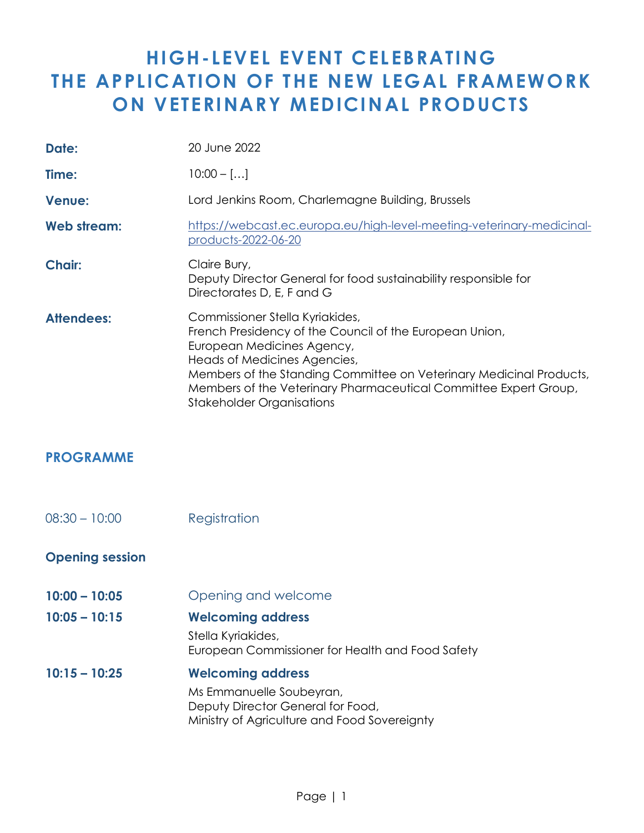## **HIGH- LEVEL EVENT CELEBRATING THE APPLICATION OF THE NEW LEGAL FRAMEWORK ON VETERINARY MEDICINAL PRODUCTS**

| Date:             | 20 June 2022                                                                                                                                                                                                                                                                                                                            |
|-------------------|-----------------------------------------------------------------------------------------------------------------------------------------------------------------------------------------------------------------------------------------------------------------------------------------------------------------------------------------|
| Time:             | $10:00 -$ []                                                                                                                                                                                                                                                                                                                            |
| <b>Venue:</b>     | Lord Jenkins Room, Charlemagne Building, Brussels                                                                                                                                                                                                                                                                                       |
| Web stream:       | https://webcast.ec.europa.eu/high-level-meeting-veterinary-medicinal-<br>products-2022-06-20                                                                                                                                                                                                                                            |
| <b>Chair:</b>     | Claire Bury,<br>Deputy Director General for food sustainability responsible for<br>Directorates D, E, F and G                                                                                                                                                                                                                           |
| <b>Attendees:</b> | Commissioner Stella Kyriakides,<br>French Presidency of the Council of the European Union,<br>European Medicines Agency,<br>Heads of Medicines Agencies,<br>Members of the Standing Committee on Veterinary Medicinal Products,<br>Members of the Veterinary Pharmaceutical Committee Expert Group,<br><b>Stakeholder Organisations</b> |

## **PROGRAMME**

08:30 – 10:00 Registration

## **Opening session**

- **10:00 – 10:05** Opening and welcome
- **10:05 – 10:15 Welcoming address**

Stella Kyriakides, European Commissioner for Health and Food Safety

**10:15 – 10:25 Welcoming address** Ms Emmanuelle Soubeyran, Deputy Director General for Food, Ministry of Agriculture and Food Sovereignty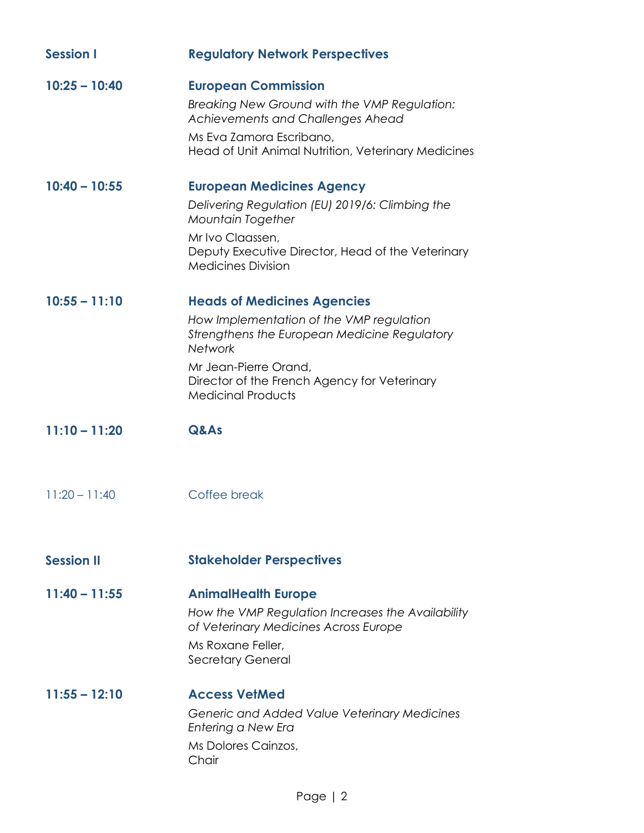| <b>Session I</b>  | <b>Regulatory Network Perspectives</b>                                                                                                                                                                                                          |
|-------------------|-------------------------------------------------------------------------------------------------------------------------------------------------------------------------------------------------------------------------------------------------|
| $10:25 - 10:40$   | <b>European Commission</b><br>Breaking New Ground with the VMP Regulation:<br><b>Achievements and Challenges Ahead</b><br>Ms Eva Zamora Escribano,<br>Head of Unit Animal Nutrition, Veterinary Medicines                                       |
| $10:40 - 10:55$   | <b>European Medicines Agency</b><br>Delivering Regulation (EU) 2019/6: Climbing the<br><b>Mountain Together</b><br>Mr Ivo Claassen,<br>Deputy Executive Director, Head of the Veterinary<br><b>Medicines Division</b>                           |
| $10:55 - 11:10$   | <b>Heads of Medicines Agencies</b><br>How Implementation of the VMP regulation<br>Strengthens the European Medicine Regulatory<br>Network<br>Mr Jean-Pierre Orand,<br>Director of the French Agency for Veterinary<br><b>Medicinal Products</b> |
| $11:10 - 11:20$   | Q&As                                                                                                                                                                                                                                            |
| $11:20 - 11:40$   | Coffee break                                                                                                                                                                                                                                    |
| <b>Session II</b> | <b>Stakeholder Perspectives</b>                                                                                                                                                                                                                 |
| $11:40 - 11:55$   | <b>AnimalHealth Europe</b><br>How the VMP Regulation Increases the Availability<br>of Veterinary Medicines Across Europe<br>Ms Roxane Feller,<br><b>Secretary General</b>                                                                       |
| $11:55 - 12:10$   | <b>Access VetMed</b><br>Generic and Added Value Veterinary Medicines<br>Entering a New Era<br>Ms Dolores Cainzos,<br>Chair                                                                                                                      |